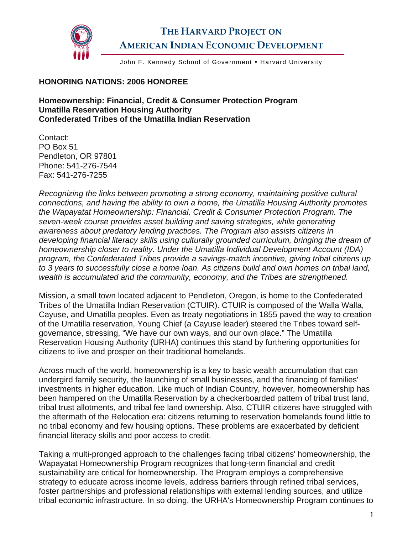

## **THE HARVARD PROJECT ON AMERICAN INDIAN ECONOMIC DEVELOPMENT**

John F. Kennedy School of Government . Harvard University

## **HONORING NATIONS: 2006 HONOREE**

**Homeownership: Financial, Credit & Consumer Protection Program Umatilla Reservation Housing Authority Confederated Tribes of the Umatilla Indian Reservation** 

Contact: PO Box 51 Pendleton, OR 97801 Phone: 541-276-7544 Fax: 541-276-7255

*Recognizing the links between promoting a strong economy, maintaining positive cultural connections, and having the ability to own a home, the Umatilla Housing Authority promotes the Wapayatat Homeownership: Financial, Credit & Consumer Protection Program. The seven-week course provides asset building and saving strategies, while generating awareness about predatory lending practices. The Program also assists citizens in developing financial literacy skills using culturally grounded curriculum, bringing the dream of homeownership closer to reality. Under the Umatilla Individual Development Account (IDA) program, the Confederated Tribes provide a savings-match incentive, giving tribal citizens up to 3 years to successfully close a home loan. As citizens build and own homes on tribal land, wealth is accumulated and the community, economy, and the Tribes are strengthened.* 

Mission, a small town located adjacent to Pendleton, Oregon, is home to the Confederated Tribes of the Umatilla Indian Reservation (CTUIR). CTUIR is composed of the Walla Walla, Cayuse, and Umatilla peoples. Even as treaty negotiations in 1855 paved the way to creation of the Umatilla reservation, Young Chief (a Cayuse leader) steered the Tribes toward selfgovernance, stressing, "We have our own ways, and our own place." The Umatilla Reservation Housing Authority (URHA) continues this stand by furthering opportunities for citizens to live and prosper on their traditional homelands.

Across much of the world, homeownership is a key to basic wealth accumulation that can undergird family security, the launching of small businesses, and the financing of families' investments in higher education. Like much of Indian Country, however, homeownership has been hampered on the Umatilla Reservation by a checkerboarded pattern of tribal trust land, tribal trust allotments, and tribal fee land ownership. Also, CTUIR citizens have struggled with the aftermath of the Relocation era: citizens returning to reservation homelands found little to no tribal economy and few housing options. These problems are exacerbated by deficient financial literacy skills and poor access to credit.

Taking a multi-pronged approach to the challenges facing tribal citizens' homeownership, the Wapayatat Homeownership Program recognizes that long-term financial and credit sustainability are critical for homeownership. The Program employs a comprehensive strategy to educate across income levels, address barriers through refined tribal services, foster partnerships and professional relationships with external lending sources, and utilize tribal economic infrastructure. In so doing, the URHA's Homeownership Program continues to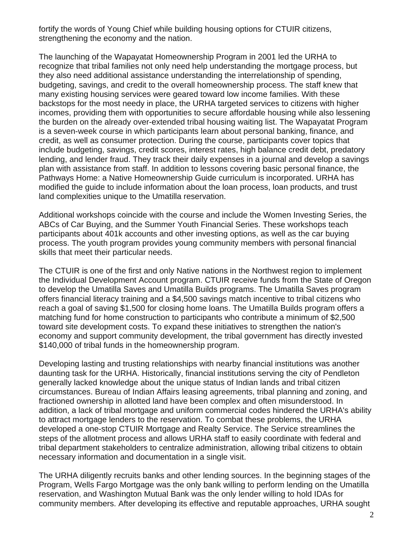fortify the words of Young Chief while building housing options for CTUIR citizens, strengthening the economy and the nation.

The launching of the Wapayatat Homeownership Program in 2001 led the URHA to recognize that tribal families not only need help understanding the mortgage process, but they also need additional assistance understanding the interrelationship of spending, budgeting, savings, and credit to the overall homeownership process. The staff knew that many existing housing services were geared toward low income families. With these backstops for the most needy in place, the URHA targeted services to citizens with higher incomes, providing them with opportunities to secure affordable housing while also lessening the burden on the already over-extended tribal housing waiting list. The Wapayatat Program is a seven-week course in which participants learn about personal banking, finance, and credit, as well as consumer protection. During the course, participants cover topics that include budgeting, savings, credit scores, interest rates, high balance credit debt, predatory lending, and lender fraud. They track their daily expenses in a journal and develop a savings plan with assistance from staff. In addition to lessons covering basic personal finance, the Pathways Home: a Native Homeownership Guide curriculum is incorporated. URHA has modified the guide to include information about the loan process, loan products, and trust land complexities unique to the Umatilla reservation.

Additional workshops coincide with the course and include the Women Investing Series, the ABCs of Car Buying, and the Summer Youth Financial Series. These workshops teach participants about 401k accounts and other investing options, as well as the car buying process. The youth program provides young community members with personal financial skills that meet their particular needs.

The CTUIR is one of the first and only Native nations in the Northwest region to implement the Individual Development Account program. CTUIR receive funds from the State of Oregon to develop the Umatilla Saves and Umatilla Builds programs. The Umatilla Saves program offers financial literacy training and a \$4,500 savings match incentive to tribal citizens who reach a goal of saving \$1,500 for closing home loans. The Umatilla Builds program offers a matching fund for home construction to participants who contribute a minimum of \$2,500 toward site development costs. To expand these initiatives to strengthen the nation's economy and support community development, the tribal government has directly invested \$140,000 of tribal funds in the homeownership program.

Developing lasting and trusting relationships with nearby financial institutions was another daunting task for the URHA. Historically, financial institutions serving the city of Pendleton generally lacked knowledge about the unique status of Indian lands and tribal citizen circumstances. Bureau of Indian Affairs leasing agreements, tribal planning and zoning, and fractioned ownership in allotted land have been complex and often misunderstood. In addition, a lack of tribal mortgage and uniform commercial codes hindered the URHA's ability to attract mortgage lenders to the reservation. To combat these problems, the URHA developed a one-stop CTUIR Mortgage and Realty Service. The Service streamlines the steps of the allotment process and allows URHA staff to easily coordinate with federal and tribal department stakeholders to centralize administration, allowing tribal citizens to obtain necessary information and documentation in a single visit.

The URHA diligently recruits banks and other lending sources. In the beginning stages of the Program, Wells Fargo Mortgage was the only bank willing to perform lending on the Umatilla reservation, and Washington Mutual Bank was the only lender willing to hold IDAs for community members. After developing its effective and reputable approaches, URHA sought